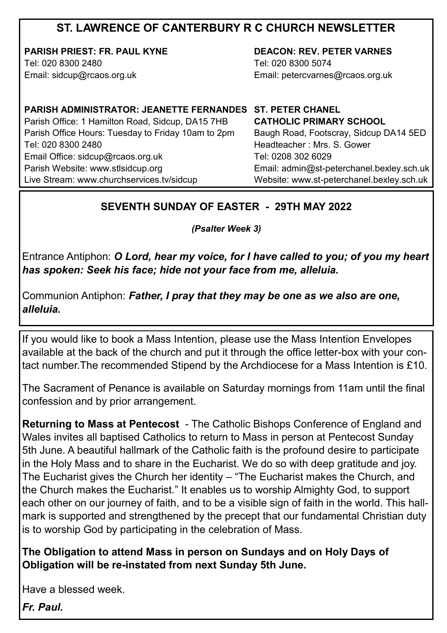## **ST. LAWRENCE OF CANTERBURY R C CHURCH NEWSLETTER**

**PARISH PRIEST: FR. PAUL KYNE** Tel: 020 8300 2480

Email: sidcup@rcaos.org.uk

**DEACON: REV. PETER VARNES**  Tel: 020 8300 5074 Email: petercvarnes@rcaos.org.uk

**PARISH ADMINISTRATOR: JEANETTE FERNANDES ST. PETER CHANEL** Parish Office: 1 Hamilton Road, Sidcup, DA15 7HB Parish Office Hours: Tuesday to Friday 10am to 2pm Tel: 020 8300 2480 Email Office: sidcup@rcaos.org.uk Parish Website: www.stlsidcup.org Live Stream: www.churchservices.tv/sidcup

**CATHOLIC PRIMARY SCHOOL**  Baugh Road, Footscray, Sidcup DA14 5ED Headteacher : Mrs. S. Gower Tel: 0208 302 6029 Email: admin@st-peterchanel.bexley.sch.uk Website: www.st-peterchanel.bexley.sch.uk

#### **SEVENTH SUNDAY OF EASTER - 29TH MAY 2022**

*(Psalter Week 3)*

Entrance Antiphon: *O Lord, hear my voice, for I have called to you; of you my heart has spoken: Seek his face; hide not your face from me, alleluia.*

Communion Antiphon: *Father, I pray that they may be one as we also are one, alleluia.*

If you would like to book a Mass Intention, please use the Mass Intention Envelopes available at the back of the church and put it through the office letter-box with your contact number.The recommended Stipend by the Archdiocese for a Mass Intention is £10.

The Sacrament of Penance is available on Saturday mornings from 11am until the final confession and by prior arrangement.

**Returning to Mass at Pentecost** - The Catholic Bishops Conference of England and Wales invites all baptised Catholics to return to Mass in person at Pentecost Sunday 5th June. A beautiful hallmark of the Catholic faith is the profound desire to participate in the Holy Mass and to share in the Eucharist. We do so with deep gratitude and joy. The Eucharist gives the Church her identity – "The Eucharist makes the Church, and the Church makes the Eucharist." It enables us to worship Almighty God, to support each other on our journey of faith, and to be a visible sign of faith in the world. This hallmark is supported and strengthened by the precept that our fundamental Christian duty is to worship God by participating in the celebration of Mass.

**The Obligation to attend Mass in person on Sundays and on Holy Days of Obligation will be re-instated from next Sunday 5th June.** 

Have a blessed week.

*Fr. Paul.*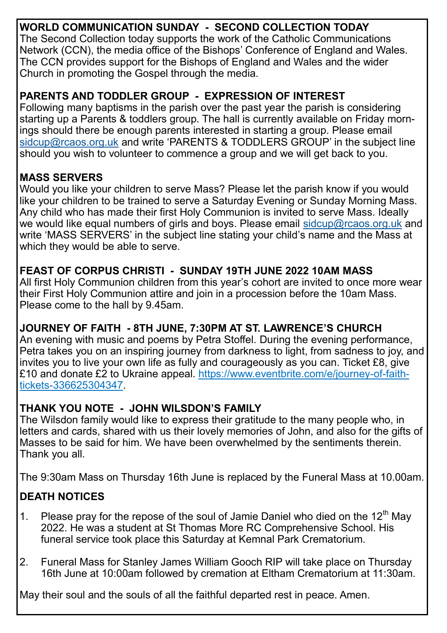# **WORLD COMMUNICATION SUNDAY - SECOND COLLECTION TODAY**

The Second Collection today supports the work of the Catholic Communications Network (CCN), the media office of the Bishops' Conference of England and Wales. The CCN provides support for the Bishops of England and Wales and the wider Church in promoting the Gospel through the media.

#### **PARENTS AND TODDLER GROUP - EXPRESSION OF INTEREST**

Following many baptisms in the parish over the past year the parish is considering starting up a Parents & toddlers group. The hall is currently available on Friday mornings should there be enough parents interested in starting a group. Please email [sidcup@rcaos.org.uk](mailto:sidcup@rcaos.org.uk) and write 'PARENTS & TODDLERS GROUP' in the subject line should you wish to volunteer to commence a group and we will get back to you.

#### **MASS SERVERS**

Would you like your children to serve Mass? Please let the parish know if you would like your children to be trained to serve a Saturday Evening or Sunday Morning Mass. Any child who has made their first Holy Communion is invited to serve Mass. Ideally we would like equal numbers of girls and boys. Please email [sidcup@rcaos.org.uk](mailto:sidcup@rcaos.org.uk) and write 'MASS SERVERS' in the subject line stating your child's name and the Mass at which they would be able to serve.

#### **FEAST OF CORPUS CHRISTI - SUNDAY 19TH JUNE 2022 10AM MASS**

All first Holy Communion children from this year's cohort are invited to once more wear their First Holy Communion attire and join in a procession before the 10am Mass. Please come to the hall by 9.45am.

#### **JOURNEY OF FAITH - 8TH JUNE, 7:30PM AT ST. LAWRENCE'S CHURCH**

An evening with music and poems by Petra Stoffel. During the evening performance, Petra takes you on an inspiring journey from darkness to light, from sadness to joy, and invites you to live your own life as fully and courageously as you can. Ticket £8, give £10 and donate £2 to Ukraine appeal. https://www.eventbrite.com/e/journey-of-faithtickets-336625304347.

#### **THANK YOU NOTE - JOHN WILSDON'S FAMILY**

The Wilsdon family would like to express their gratitude to the many people who, in letters and cards, shared with us their lovely memories of John, and also for the gifts of Masses to be said for him. We have been overwhelmed by the sentiments therein. Thank you all.

The 9:30am Mass on Thursday 16th June is replaced by the Funeral Mass at 10.00am.

### **DEATH NOTICES**

- 1. Please pray for the repose of the soul of Jamie Daniel who died on the 12<sup>th</sup> May 2022. He was a student at St Thomas More RC Comprehensive School. His funeral service took place this Saturday at Kemnal Park Crematorium.
- 2. Funeral Mass for Stanley James William Gooch RIP will take place on Thursday 16th June at 10:00am followed by cremation at Eltham Crematorium at 11:30am.

May their soul and the souls of all the faithful departed rest in peace. Amen.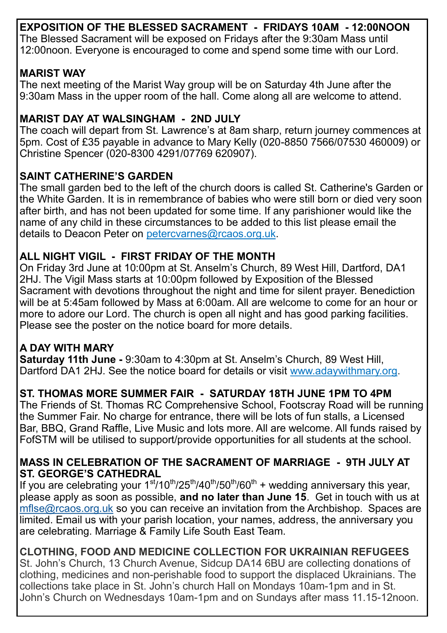**EXPOSITION OF THE BLESSED SACRAMENT - FRIDAYS 10AM - 12:00NOON** The Blessed Sacrament will be exposed on Fridays after the 9:30am Mass until 12:00noon. Everyone is encouraged to come and spend some time with our Lord.

### **MARIST WAY**

The next meeting of the Marist Way group will be on Saturday 4th June after the 9:30am Mass in the upper room of the hall. Come along all are welcome to attend.

## **MARIST DAY AT WALSINGHAM - 2ND JULY**

The coach will depart from St. Lawrence's at 8am sharp, return journey commences at 5pm. Cost of £35 payable in advance to Mary Kelly (020-8850 7566/07530 460009) or Christine Spencer (020-8300 4291/07769 620907).

### **SAINT CATHERINE'S GARDEN**

The small garden bed to the left of the church doors is called St. Catherine's Garden or the White Garden. It is in remembrance of babies who were still born or died very soon after birth, and has not been updated for some time. If any parishioner would like the name of any child in these circumstances to be added to this list please email the details to Deacon Peter on petercvarnes@rcaos.org.uk.

### **ALL NIGHT VIGIL - FIRST FRIDAY OF THE MONTH**

On Friday 3rd June at 10:00pm at St. Anselm's Church, 89 West Hill, Dartford, DA1 2HJ. The Vigil Mass starts at 10:00pm followed by Exposition of the Blessed Sacrament with devotions throughout the night and time for silent prayer. Benediction will be at 5:45am followed by Mass at 6:00am. All are welcome to come for an hour or more to adore our Lord. The church is open all night and has good parking facilities. Please see the poster on the notice board for more details.

#### **A DAY WITH MARY**

**Saturday 11th June -** 9:30am to 4:30pm at St. Anselm's Church, [89 West Hill,](https://www.bing.com/local?lid=YN1018x220192214&id=YN1018x220192214&q=Saint+Anselms+Catholic+Church&name=Saint+Anselms+Catholic+Church&cp=51.44670486450195%7e0.20554320514202118&ppois=51.44670486450195_0.20554320514202118_Saint+Anselms+Catholic+Church)  [Dartford DA1 2HJ.](https://www.bing.com/local?lid=YN1018x220192214&id=YN1018x220192214&q=Saint+Anselms+Catholic+Church&name=Saint+Anselms+Catholic+Church&cp=51.44670486450195%7e0.20554320514202118&ppois=51.44670486450195_0.20554320514202118_Saint+Anselms+Catholic+Church) See the notice board for details or visit www.adaywithmary.org.

### **ST. THOMAS MORE SUMMER FAIR - SATURDAY 18TH JUNE 1PM TO 4PM**

The Friends of St. Thomas RC Comprehensive School, Footscray Road will be running the Summer Fair. No charge for entrance, there will be lots of fun stalls, a Licensed Bar, BBQ, Grand Raffle, Live Music and lots more. All are welcome. All funds raised by FofSTM will be utilised to support/provide opportunities for all students at the school.

#### **MASS IN CELEBRATION OF THE SACRAMENT OF MARRIAGE - 9TH JULY AT ST. GEORGE'S CATHEDRAL**

If you are celebrating your  $1^{st}/10^{th}/25^{th}/40^{th}/50^{th}/60^{th}$  + wedding anniversary this year, please apply as soon as possible, **and no later than June 15**. Get in touch with us at [mflse@rcaos.org.uk](mailto:mflse@rcaos.org.uk) so you can receive an invitation from the Archbishop. Spaces are limited. Email us with your parish location, your names, address, the anniversary you are celebrating. Marriage & Family Life South East Team.

#### **CLOTHING, FOOD AND MEDICINE COLLECTION FOR UKRAINIAN REFUGEES**

St. John's Church, 13 Church Avenue, Sidcup DA14 6BU are collecting donations of clothing, medicines and non-perishable food to support the displaced Ukrainians. The collections take place in St. John's church Hall on Mondays 10am-1pm and in St. John's Church on Wednesdays 10am-1pm and on Sundays after mass 11.15-12noon.